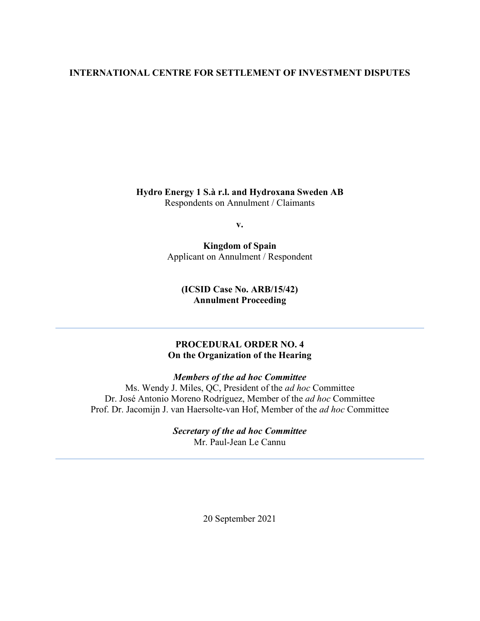#### **INTERNATIONAL CENTRE FOR SETTLEMENT OF INVESTMENT DISPUTES**

**Hydro Energy 1 S.à r.l. and Hydroxana Sweden AB** Respondents on Annulment / Claimants

**v.**

**Kingdom of Spain** Applicant on Annulment / Respondent

**(ICSID Case No. ARB/15/42) Annulment Proceeding**

#### **PROCEDURAL ORDER NO. 4 On the Organization of the Hearing**

*Members of the ad hoc Committee*

Ms. Wendy J. Miles, QC, President of the *ad hoc* Committee Dr. José Antonio Moreno Rodríguez, Member of the *ad hoc* Committee Prof. Dr. Jacomijn J. van Haersolte-van Hof, Member of the *ad hoc* Committee

> *Secretary of the ad hoc Committee* Mr. Paul-Jean Le Cannu

> > 20 September 2021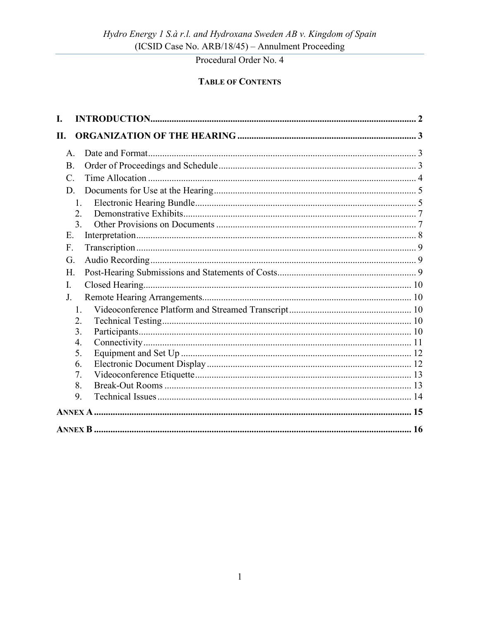## **TABLE OF CONTENTS**

| I.              |  |
|-----------------|--|
| Π.              |  |
| A.              |  |
| <b>B.</b>       |  |
| $\mathcal{C}$ . |  |
| D.              |  |
| 1.              |  |
| 2.              |  |
| 3.              |  |
| Ε.              |  |
| F.              |  |
| G.              |  |
| Η.              |  |
| I.              |  |
| J.              |  |
| 1.              |  |
| 2.              |  |
| 3.              |  |
| 4.              |  |
| 5.              |  |
| 6.              |  |
| 7.              |  |
| 8.              |  |
| 9.              |  |
|                 |  |
|                 |  |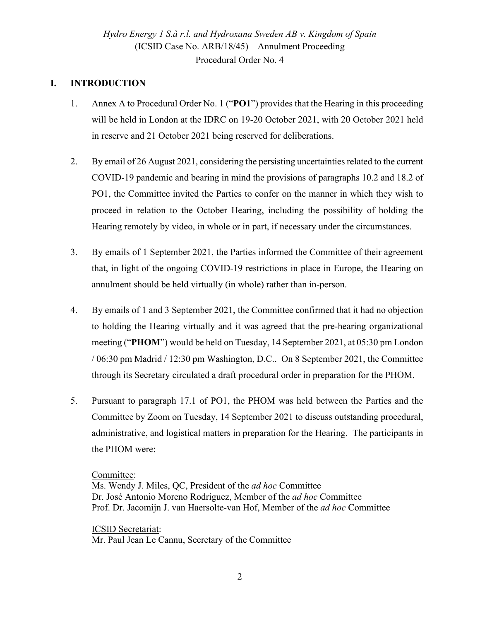## <span id="page-2-0"></span>**I. INTRODUCTION**

- <span id="page-2-1"></span>1. Annex A to Procedural Order No. 1 ("**PO1**") provides that the Hearing in this proceeding will be held in London at the IDRC on 19-20 October 2021, with 20 October 2021 held in reserve and 21 October 2021 being reserved for deliberations.
- 2. By email of 26 August 2021, considering the persisting uncertainties related to the current COVID‐19 pandemic and bearing in mind the provisions of paragraphs 10.2 and 18.2 of PO1, the Committee invited the Parties to confer on the manner in which they wish to proceed in relation to the October Hearing, including the possibility of holding the Hearing remotely by video, in whole or in part, if necessary under the circumstances.
- <span id="page-2-2"></span>3. By emails of 1 September 2021, the Parties informed the Committee of their agreement that, in light of the ongoing COVID-19 restrictions in place in Europe, the Hearing on annulment should be held virtually (in whole) rather than in-person.
- <span id="page-2-3"></span>4. By emails of 1 and 3 September 2021, the Committee confirmed that it had no objection to holding the Hearing virtually and it was agreed that the pre-hearing organizational meeting ("**PHOM**") would be held on Tuesday, 14 September 2021, at 05:30 pm London / 06:30 pm Madrid / 12:30 pm Washington, D.C.. On 8 September 2021, the Committee through its Secretary circulated a draft procedural order in preparation for the PHOM.
- 5. Pursuant to paragraph 17.1 of PO1, the PHOM was held between the Parties and the Committee by Zoom on Tuesday, 14 September 2021 to discuss outstanding procedural, administrative, and logistical matters in preparation for the Hearing. The participants in the PHOM were:

#### Committee:

Ms. Wendy J. Miles, QC, President of the *ad hoc* Committee Dr. José Antonio Moreno Rodríguez, Member of the *ad hoc* Committee Prof. Dr. Jacomijn J. van Haersolte-van Hof, Member of the *ad hoc* Committee

ICSID Secretariat: Mr. Paul Jean Le Cannu, Secretary of the Committee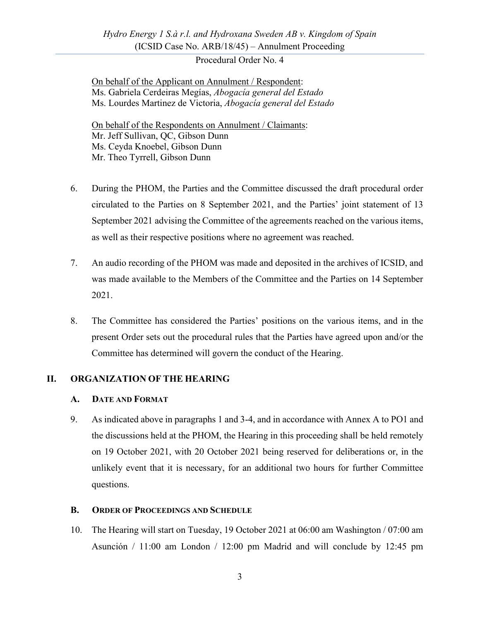On behalf of the Applicant on Annulment / Respondent: Ms. Gabriela Cerdeiras Megías, *Abogacía general del Estado* Ms. Lourdes Martinez de Victoria, *Abogacía general del Estado*

On behalf of the Respondents on Annulment / Claimants: Mr. Jeff Sullivan, QC, Gibson Dunn Ms. Ceyda Knoebel, Gibson Dunn Mr. Theo Tyrrell, Gibson Dunn

- 6. During the PHOM, the Parties and the Committee discussed the draft procedural order circulated to the Parties on 8 September 2021, and the Parties' joint statement of 13 September 2021 advising the Committee of the agreements reached on the various items, as well as their respective positions where no agreement was reached.
- 7. An audio recording of the PHOM was made and deposited in the archives of ICSID, and was made available to the Members of the Committee and the Parties on 14 September 2021.
- 8. The Committee has considered the Parties' positions on the various items, and in the present Order sets out the procedural rules that the Parties have agreed upon and/or the Committee has determined will govern the conduct of the Hearing.

### <span id="page-3-0"></span>**II. ORGANIZATION OF THE HEARING**

### <span id="page-3-1"></span>**A. DATE AND FORMAT**

<span id="page-3-3"></span>9. As indicated above in paragraphs [1](#page-2-1) and [3](#page-2-2)[-4,](#page-2-3) and in accordance with Annex A to PO1 and the discussions held at the PHOM, the Hearing in this proceeding shall be held remotely on 19 October 2021, with 20 October 2021 being reserved for deliberations or, in the unlikely event that it is necessary, for an additional two hours for further Committee questions.

### <span id="page-3-2"></span>**B. ORDER OF PROCEEDINGS AND SCHEDULE**

<span id="page-3-4"></span>10. The Hearing will start on Tuesday, 19 October 2021 at 06:00 am Washington / 07:00 am Asunción / 11:00 am London / 12:00 pm Madrid and will conclude by 12:45 pm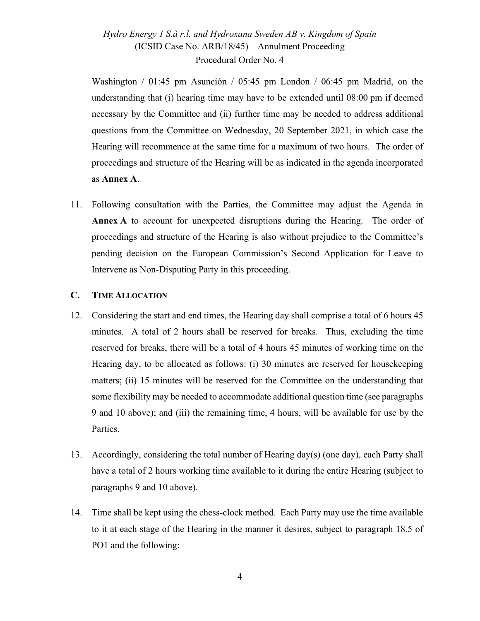Washington / 01:45 pm Asunción / 05:45 pm London / 06:45 pm Madrid, on the understanding that (i) hearing time may have to be extended until 08:00 pm if deemed necessary by the Committee and (ii) further time may be needed to address additional questions from the Committee on Wednesday, 20 September 2021, in which case the Hearing will recommence at the same time for a maximum of two hours. The order of proceedings and structure of the Hearing will be as indicated in the agenda incorporated as **Annex A**.

11. Following consultation with the Parties, the Committee may adjust the Agenda in **Annex A** to account for unexpected disruptions during the Hearing. The order of proceedings and structure of the Hearing is also without prejudice to the Committee's pending decision on the European Commission's Second Application for Leave to Intervene as Non-Disputing Party in this proceeding.

#### <span id="page-4-0"></span>**C. TIME ALLOCATION**

- 12. Considering the start and end times, the Hearing day shall comprise a total of 6 hours 45 minutes. A total of 2 hours shall be reserved for breaks. Thus, excluding the time reserved for breaks, there will be a total of 4 hours 45 minutes of working time on the Hearing day, to be allocated as follows: (i) 30 minutes are reserved for housekeeping matters; (ii) 15 minutes will be reserved for the Committee on the understanding that some flexibility may be needed to accommodate additional question time (see paragraphs [9](#page-3-3) and [10](#page-3-4) above); and (iii) the remaining time, 4 hours, will be available for use by the Parties.
- 13. Accordingly, considering the total number of Hearing day(s) (one day), each Party shall have a total of 2 hours working time available to it during the entire Hearing (subject to paragraphs [9](#page-3-3) and [10](#page-3-4) above).
- 14. Time shall be kept using the chess-clock method. Each Party may use the time available to it at each stage of the Hearing in the manner it desires, subject to paragraph 18.5 of PO1 and the following: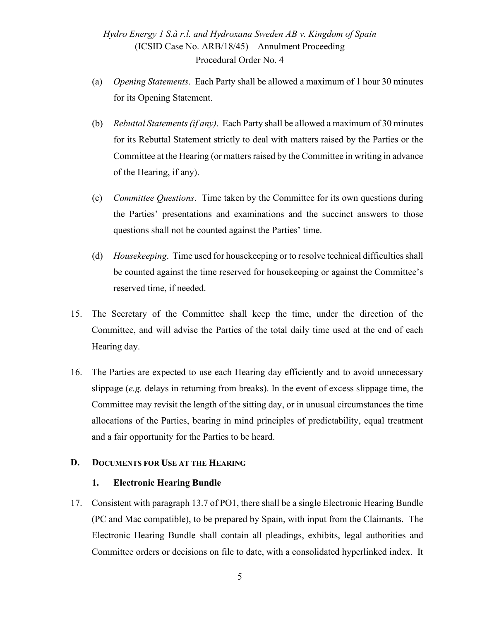- (a) *Opening Statements*. Each Party shall be allowed a maximum of 1 hour 30 minutes for its Opening Statement.
- (b) *Rebuttal Statements(if any)*. Each Party shall be allowed a maximum of 30 minutes for its Rebuttal Statement strictly to deal with matters raised by the Parties or the Committee at the Hearing (or matters raised by the Committee in writing in advance of the Hearing, if any).
- (c) *Committee Questions*. Time taken by the Committee for its own questions during the Parties' presentations and examinations and the succinct answers to those questions shall not be counted against the Parties' time.
- (d) *Housekeeping*. Time used for housekeeping or to resolve technical difficulties shall be counted against the time reserved for housekeeping or against the Committee's reserved time, if needed.
- 15. The Secretary of the Committee shall keep the time, under the direction of the Committee, and will advise the Parties of the total daily time used at the end of each Hearing day.
- 16. The Parties are expected to use each Hearing day efficiently and to avoid unnecessary slippage (*e.g.* delays in returning from breaks). In the event of excess slippage time, the Committee may revisit the length of the sitting day, or in unusual circumstances the time allocations of the Parties, bearing in mind principles of predictability, equal treatment and a fair opportunity for the Parties to be heard.

#### <span id="page-5-1"></span><span id="page-5-0"></span>**D. DOCUMENTS FOR USE AT THE HEARING**

#### **1. Electronic Hearing Bundle**

<span id="page-5-2"></span>17. Consistent with paragraph 13.7 of PO1, there shall be a single Electronic Hearing Bundle (PC and Mac compatible), to be prepared by Spain, with input from the Claimants. The Electronic Hearing Bundle shall contain all pleadings, exhibits, legal authorities and Committee orders or decisions on file to date, with a consolidated hyperlinked index. It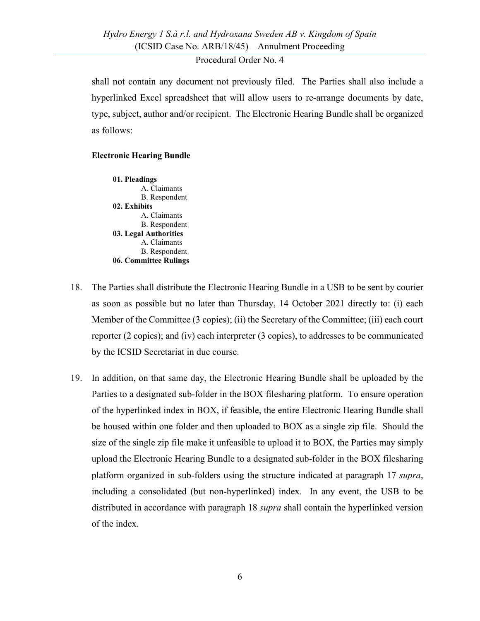shall not contain any document not previously filed. The Parties shall also include a hyperlinked Excel spreadsheet that will allow users to re-arrange documents by date, type, subject, author and/or recipient. The Electronic Hearing Bundle shall be organized as follows:

#### **Electronic Hearing Bundle**

**01. Pleadings** A. Claimants B. Respondent **02. Exhibits** A. Claimants B. Respondent **03. Legal Authorities** A. Claimants B. Respondent **06. Committee Rulings**

- <span id="page-6-0"></span>18. The Parties shall distribute the Electronic Hearing Bundle in a USB to be sent by courier as soon as possible but no later than Thursday, 14 October 2021 directly to: (i) each Member of the Committee (3 copies); (ii) the Secretary of the Committee; (iii) each court reporter (2 copies); and (iv) each interpreter (3 copies), to addresses to be communicated by the ICSID Secretariat in due course.
- 19. In addition, on that same day, the Electronic Hearing Bundle shall be uploaded by the Parties to a designated sub-folder in the BOX filesharing platform. To ensure operation of the hyperlinked index in BOX, if feasible, the entire Electronic Hearing Bundle shall be housed within one folder and then uploaded to BOX as a single zip file. Should the size of the single zip file make it unfeasible to upload it to BOX, the Parties may simply upload the Electronic Hearing Bundle to a designated sub-folder in the BOX filesharing platform organized in sub-folders using the structure indicated at paragraph [17](#page-5-2) *supra*, including a consolidated (but non-hyperlinked) index. In any event, the USB to be distributed in accordance with paragraph [18](#page-6-0) *supra* shall contain the hyperlinked version of the index.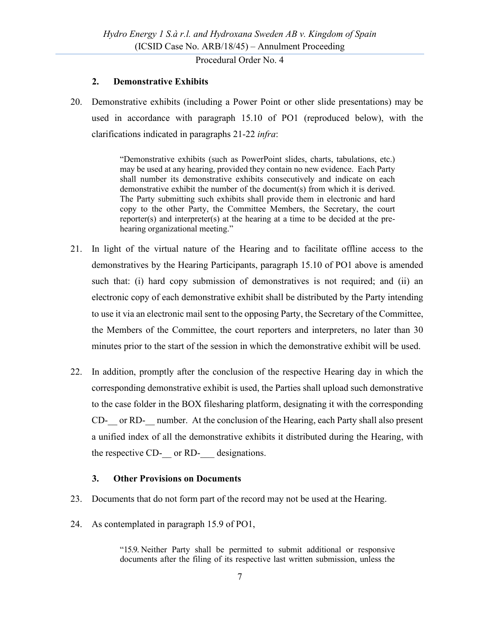### **2. Demonstrative Exhibits**

<span id="page-7-0"></span>20. Demonstrative exhibits (including a Power Point or other slide presentations) may be used in accordance with paragraph 15.10 of PO1 (reproduced below), with the clarifications indicated in paragraphs [21-](#page-7-2)[22](#page-7-3) *infra*:

> "Demonstrative exhibits (such as PowerPoint slides, charts, tabulations, etc.) may be used at any hearing, provided they contain no new evidence. Each Party shall number its demonstrative exhibits consecutively and indicate on each demonstrative exhibit the number of the document(s) from which it is derived. The Party submitting such exhibits shall provide them in electronic and hard copy to the other Party, the Committee Members, the Secretary, the court reporter(s) and interpreter(s) at the hearing at a time to be decided at the prehearing organizational meeting."

- <span id="page-7-2"></span>21. In light of the virtual nature of the Hearing and to facilitate offline access to the demonstratives by the Hearing Participants, paragraph 15.10 of PO1 above is amended such that: (i) hard copy submission of demonstratives is not required; and (ii) an electronic copy of each demonstrative exhibit shall be distributed by the Party intending to use it via an electronic mail sent to the opposing Party, the Secretary of the Committee, the Members of the Committee, the court reporters and interpreters, no later than 30 minutes prior to the start of the session in which the demonstrative exhibit will be used.
- <span id="page-7-3"></span>22. In addition, promptly after the conclusion of the respective Hearing day in which the corresponding demonstrative exhibit is used, the Parties shall upload such demonstrative to the case folder in the BOX filesharing platform, designating it with the corresponding CD- or RD- number. At the conclusion of the Hearing, each Party shall also present a unified index of all the demonstrative exhibits it distributed during the Hearing, with the respective CD- or RD- designations.

### **3. Other Provisions on Documents**

- <span id="page-7-1"></span>23. Documents that do not form part of the record may not be used at the Hearing.
- 24. As contemplated in paragraph 15.9 of PO1,

"15.9. Neither Party shall be permitted to submit additional or responsive documents after the filing of its respective last written submission, unless the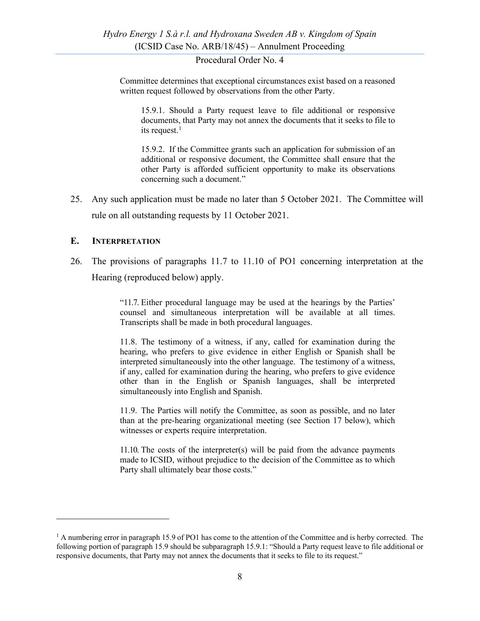Committee determines that exceptional circumstances exist based on a reasoned written request followed by observations from the other Party.

15.9.1. Should a Party request leave to file additional or responsive documents, that Party may not annex the documents that it seeks to file to its request.<sup>[1](#page-8-1)</sup>

15.9.2. If the Committee grants such an application for submission of an additional or responsive document, the Committee shall ensure that the other Party is afforded sufficient opportunity to make its observations concerning such a document."

25. Any such application must be made no later than 5 October 2021. The Committee will rule on all outstanding requests by 11 October 2021.

#### <span id="page-8-0"></span>**E. INTERPRETATION**

26. The provisions of paragraphs 11.7 to 11.10 of PO1 concerning interpretation at the Hearing (reproduced below) apply.

> "11.7. Either procedural language may be used at the hearings by the Parties' counsel and simultaneous interpretation will be available at all times. Transcripts shall be made in both procedural languages.

> 11.8. The testimony of a witness, if any, called for examination during the hearing, who prefers to give evidence in either English or Spanish shall be interpreted simultaneously into the other language. The testimony of a witness, if any, called for examination during the hearing, who prefers to give evidence other than in the English or Spanish languages, shall be interpreted simultaneously into English and Spanish.

> 11.9. The Parties will notify the Committee, as soon as possible, and no later than at the pre-hearing organizational meeting (see Section 17 below), which witnesses or experts require interpretation.

> 11.10. The costs of the interpreter(s) will be paid from the advance payments made to ICSID, without prejudice to the decision of the Committee as to which Party shall ultimately bear those costs."

<span id="page-8-1"></span> $<sup>1</sup>$  A numbering error in paragraph 15.9 of PO1 has come to the attention of the Committee and is herby corrected. The</sup> following portion of paragraph 15.9 should be subparagraph 15.9.1: "Should a Party request leave to file additional or responsive documents, that Party may not annex the documents that it seeks to file to its request."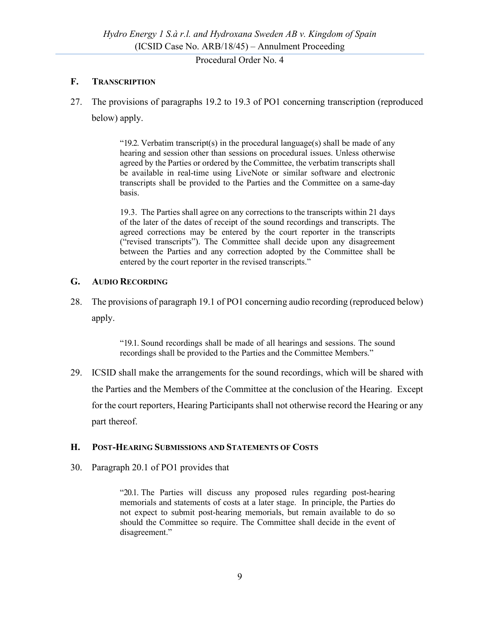## <span id="page-9-0"></span>**F. TRANSCRIPTION**

27. The provisions of paragraphs 19.2 to 19.3 of PO1 concerning transcription (reproduced below) apply.

> "19.2. Verbatim transcript(s) in the procedural language(s) shall be made of any hearing and session other than sessions on procedural issues. Unless otherwise agreed by the Parties or ordered by the Committee, the verbatim transcripts shall be available in real-time using LiveNote or similar software and electronic transcripts shall be provided to the Parties and the Committee on a same-day basis.

> 19.3. The Parties shall agree on any corrections to the transcripts within 21 days of the later of the dates of receipt of the sound recordings and transcripts. The agreed corrections may be entered by the court reporter in the transcripts ("revised transcripts"). The Committee shall decide upon any disagreement between the Parties and any correction adopted by the Committee shall be entered by the court reporter in the revised transcripts."

### <span id="page-9-1"></span>**G. AUDIO RECORDING**

28. The provisions of paragraph 19.1 of PO1 concerning audio recording (reproduced below) apply.

> "19.1. Sound recordings shall be made of all hearings and sessions. The sound recordings shall be provided to the Parties and the Committee Members."

29. ICSID shall make the arrangements for the sound recordings, which will be shared with the Parties and the Members of the Committee at the conclusion of the Hearing. Except for the court reporters, Hearing Participants shall not otherwise record the Hearing or any part thereof.

#### <span id="page-9-2"></span>**H. POST-HEARING SUBMISSIONS AND STATEMENTS OF COSTS**

30. Paragraph 20.1 of PO1 provides that

"20.1. The Parties will discuss any proposed rules regarding post-hearing memorials and statements of costs at a later stage. In principle, the Parties do not expect to submit post-hearing memorials, but remain available to do so should the Committee so require. The Committee shall decide in the event of disagreement."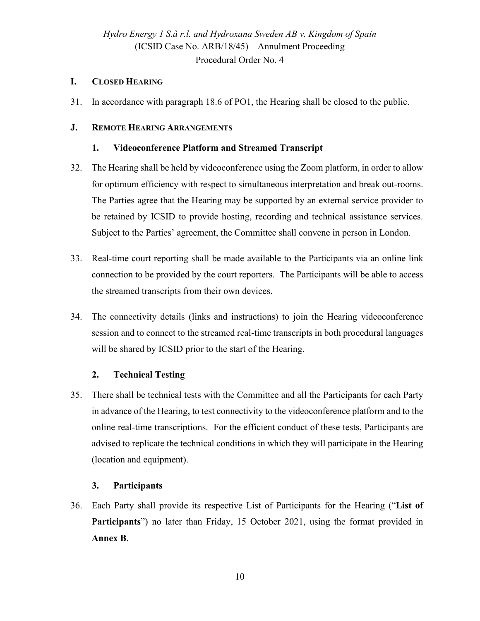## <span id="page-10-0"></span>**I. CLOSED HEARING**

31. In accordance with paragraph 18.6 of PO1, the Hearing shall be closed to the public.

## <span id="page-10-2"></span><span id="page-10-1"></span>**J. REMOTE HEARING ARRANGEMENTS**

## **1. Videoconference Platform and Streamed Transcript**

- 32. The Hearing shall be held by videoconference using the Zoom platform, in order to allow for optimum efficiency with respect to simultaneous interpretation and break out-rooms. The Parties agree that the Hearing may be supported by an external service provider to be retained by ICSID to provide hosting, recording and technical assistance services. Subject to the Parties' agreement, the Committee shall convene in person in London.
- 33. Real-time court reporting shall be made available to the Participants via an online link connection to be provided by the court reporters. The Participants will be able to access the streamed transcripts from their own devices.
- 34. The connectivity details (links and instructions) to join the Hearing videoconference session and to connect to the streamed real-time transcripts in both procedural languages will be shared by ICSID prior to the start of the Hearing.

## **2. Technical Testing**

<span id="page-10-3"></span>35. There shall be technical tests with the Committee and all the Participants for each Party in advance of the Hearing, to test connectivity to the videoconference platform and to the online real-time transcriptions. For the efficient conduct of these tests, Participants are advised to replicate the technical conditions in which they will participate in the Hearing (location and equipment).

## **3. Participants**

<span id="page-10-4"></span>36. Each Party shall provide its respective List of Participants for the Hearing ("**List of Participants**") no later than Friday, 15 October 2021, using the format provided in **Annex B**.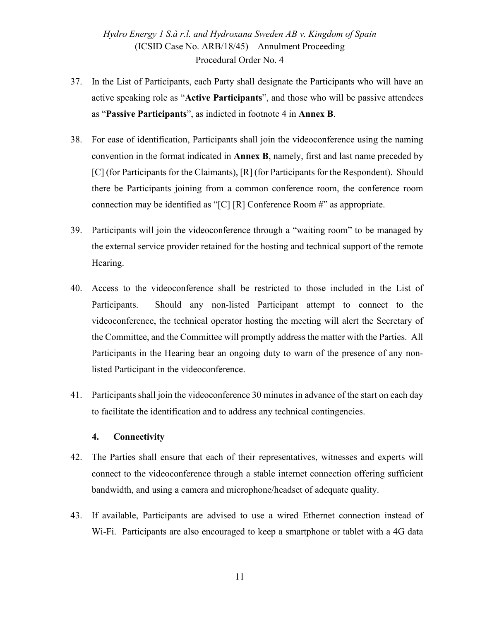- 37. In the List of Participants, each Party shall designate the Participants who will have an active speaking role as "**Active Participants**", and those who will be passive attendees as "**Passive Participants**", as indicted in footnote [4](#page-16-1) in **Annex B**.
- 38. For ease of identification, Participants shall join the videoconference using the naming convention in the format indicated in **Annex B**, namely, first and last name preceded by [C] (for Participants for the Claimants), [R] (for Participants for the Respondent). Should there be Participants joining from a common conference room, the conference room connection may be identified as "[C] [R] Conference Room #" as appropriate.
- 39. Participants will join the videoconference through a "waiting room" to be managed by the external service provider retained for the hosting and technical support of the remote Hearing.
- 40. Access to the videoconference shall be restricted to those included in the List of Participants. Should any non-listed Participant attempt to connect to the videoconference, the technical operator hosting the meeting will alert the Secretary of the Committee, and the Committee will promptly address the matter with the Parties. All Participants in the Hearing bear an ongoing duty to warn of the presence of any nonlisted Participant in the videoconference.
- 41. Participants shall join the videoconference 30 minutes in advance of the start on each day to facilitate the identification and to address any technical contingencies.

#### **4. Connectivity**

- <span id="page-11-0"></span>42. The Parties shall ensure that each of their representatives, witnesses and experts will connect to the videoconference through a stable internet connection offering sufficient bandwidth, and using a camera and microphone/headset of adequate quality.
- 43. If available, Participants are advised to use a wired Ethernet connection instead of Wi-Fi. Participants are also encouraged to keep a smartphone or tablet with a 4G data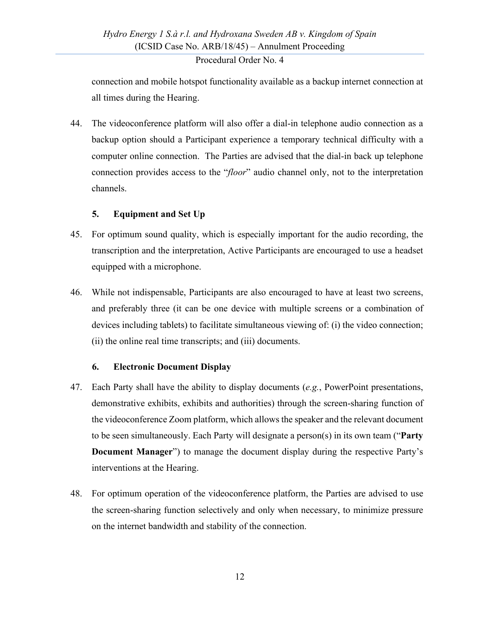connection and mobile hotspot functionality available as a backup internet connection at all times during the Hearing.

44. The videoconference platform will also offer a dial-in telephone audio connection as a backup option should a Participant experience a temporary technical difficulty with a computer online connection. The Parties are advised that the dial-in back up telephone connection provides access to the "*floor*" audio channel only, not to the interpretation channels.

## **5. Equipment and Set Up**

- <span id="page-12-0"></span>45. For optimum sound quality, which is especially important for the audio recording, the transcription and the interpretation, Active Participants are encouraged to use a headset equipped with a microphone.
- 46. While not indispensable, Participants are also encouraged to have at least two screens, and preferably three (it can be one device with multiple screens or a combination of devices including tablets) to facilitate simultaneous viewing of: (i) the video connection; (ii) the online real time transcripts; and (iii) documents.

### **6. Electronic Document Display**

- <span id="page-12-1"></span>47. Each Party shall have the ability to display documents (*e.g.*, PowerPoint presentations, demonstrative exhibits, exhibits and authorities) through the screen-sharing function of the videoconference Zoom platform, which allows the speaker and the relevant document to be seen simultaneously. Each Party will designate a person(s) in its own team ("**Party Document Manager**") to manage the document display during the respective Party's interventions at the Hearing.
- 48. For optimum operation of the videoconference platform, the Parties are advised to use the screen-sharing function selectively and only when necessary, to minimize pressure on the internet bandwidth and stability of the connection.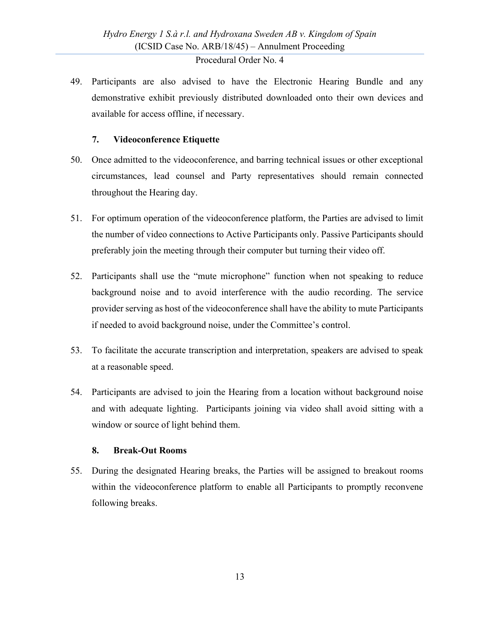49. Participants are also advised to have the Electronic Hearing Bundle and any demonstrative exhibit previously distributed downloaded onto their own devices and available for access offline, if necessary.

### **7. Videoconference Etiquette**

- <span id="page-13-0"></span>50. Once admitted to the videoconference, and barring technical issues or other exceptional circumstances, lead counsel and Party representatives should remain connected throughout the Hearing day.
- 51. For optimum operation of the videoconference platform, the Parties are advised to limit the number of video connections to Active Participants only. Passive Participants should preferably join the meeting through their computer but turning their video off.
- 52. Participants shall use the "mute microphone" function when not speaking to reduce background noise and to avoid interference with the audio recording. The service provider serving as host of the videoconference shall have the ability to mute Participants if needed to avoid background noise, under the Committee's control.
- 53. To facilitate the accurate transcription and interpretation, speakers are advised to speak at a reasonable speed.
- 54. Participants are advised to join the Hearing from a location without background noise and with adequate lighting. Participants joining via video shall avoid sitting with a window or source of light behind them.

### **8. Break-Out Rooms**

<span id="page-13-1"></span>55. During the designated Hearing breaks, the Parties will be assigned to breakout rooms within the videoconference platform to enable all Participants to promptly reconvene following breaks.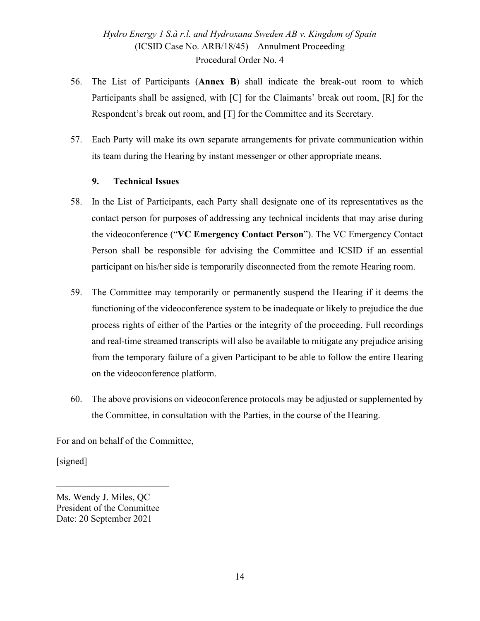- 56. The List of Participants (**Annex B**) shall indicate the break-out room to which Participants shall be assigned, with [C] for the Claimants' break out room, [R] for the Respondent's break out room, and [T] for the Committee and its Secretary.
- 57. Each Party will make its own separate arrangements for private communication within its team during the Hearing by instant messenger or other appropriate means.

### **9. Technical Issues**

- <span id="page-14-0"></span>58. In the List of Participants, each Party shall designate one of its representatives as the contact person for purposes of addressing any technical incidents that may arise during the videoconference ("**VC Emergency Contact Person**"). The VC Emergency Contact Person shall be responsible for advising the Committee and ICSID if an essential participant on his/her side is temporarily disconnected from the remote Hearing room.
- 59. The Committee may temporarily or permanently suspend the Hearing if it deems the functioning of the videoconference system to be inadequate or likely to prejudice the due process rights of either of the Parties or the integrity of the proceeding. Full recordings and real-time streamed transcripts will also be available to mitigate any prejudice arising from the temporary failure of a given Participant to be able to follow the entire Hearing on the videoconference platform.
- 60. The above provisions on videoconference protocols may be adjusted or supplemented by the Committee, in consultation with the Parties, in the course of the Hearing.

For and on behalf of the Committee,

[signed]

\_\_\_\_\_\_\_\_\_\_\_\_\_\_\_\_\_\_\_\_\_\_\_\_

Ms. Wendy J. Miles, QC President of the Committee Date: 20 September 2021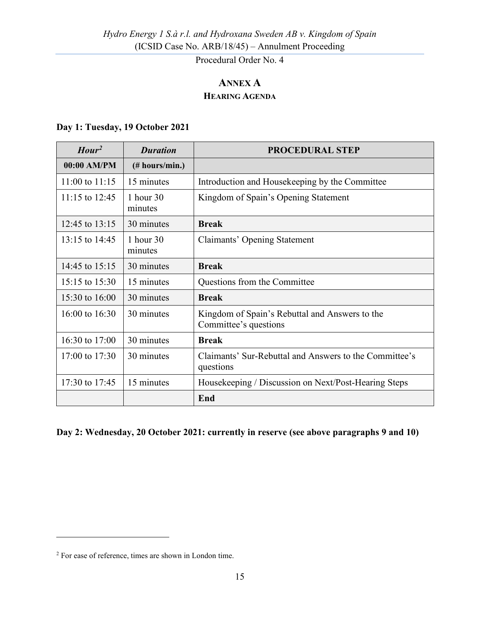# **ANNEX A HEARING AGENDA**

## <span id="page-15-0"></span>**Day 1: Tuesday, 19 October 2021**

| Hour <sup>2</sup>  | <b>Duration</b>        | <b>PROCEDURAL STEP</b>                                                  |  |  |
|--------------------|------------------------|-------------------------------------------------------------------------|--|--|
| $00:00$ AM/PM      | (# hours/min.)         |                                                                         |  |  |
| $11:00$ to $11:15$ | 15 minutes             | Introduction and House keeping by the Committee                         |  |  |
| $11:15$ to $12:45$ | 1 hour $30$<br>minutes | Kingdom of Spain's Opening Statement                                    |  |  |
| 12:45 to 13:15     | 30 minutes             | <b>Break</b>                                                            |  |  |
| 13:15 to 14:45     | 1 hour 30<br>minutes   | Claimants' Opening Statement                                            |  |  |
| 14:45 to 15:15     | 30 minutes             | <b>Break</b>                                                            |  |  |
| 15:15 to 15:30     | 15 minutes             | Questions from the Committee                                            |  |  |
| 15:30 to 16:00     | 30 minutes             | <b>Break</b>                                                            |  |  |
| 16:00 to 16:30     | 30 minutes             | Kingdom of Spain's Rebuttal and Answers to the<br>Committee's questions |  |  |
| 16:30 to 17:00     | 30 minutes             | <b>Break</b>                                                            |  |  |
| 17:00 to $17:30$   | 30 minutes             | Claimants' Sur-Rebuttal and Answers to the Committee's<br>questions     |  |  |
| 17:30 to 17:45     | 15 minutes             | Housekeeping / Discussion on Next/Post-Hearing Steps                    |  |  |
|                    |                        | End                                                                     |  |  |

#### **Day 2: Wednesday, 20 October 2021: currently in reserve (see above paragraphs [9](#page-3-3) and [10\)](#page-3-4)**

<span id="page-15-1"></span><sup>2</sup> For ease of reference, times are shown in London time.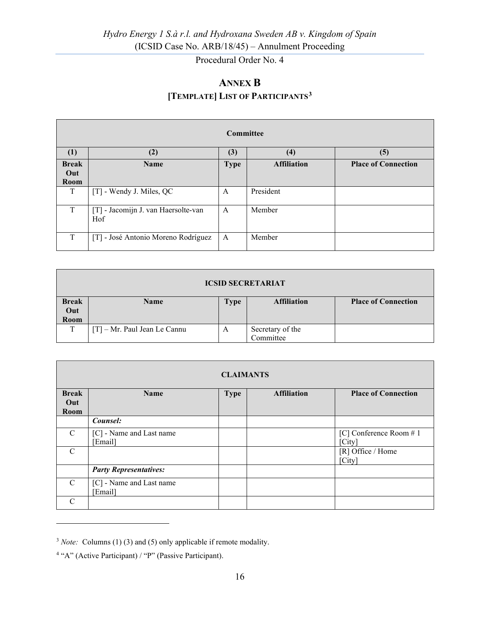# <span id="page-16-1"></span>**ANNEX B [TEMPLATE] LIST OF PARTICIPANTS[3](#page-16-2)**

<span id="page-16-0"></span>

| Committee                   |                                            |             |                    |                            |  |  |
|-----------------------------|--------------------------------------------|-------------|--------------------|----------------------------|--|--|
| (1)                         | (2)                                        | (3)         | (4)                | (5)                        |  |  |
| <b>Break</b><br>Out<br>Room | <b>Name</b>                                | <b>Type</b> | <b>Affiliation</b> | <b>Place of Connection</b> |  |  |
| T                           | [T] - Wendy J. Miles, QC                   | A           | President          |                            |  |  |
| T                           | [T] - Jacomijn J. van Haersolte-van<br>Hof | A           | Member             |                            |  |  |
| T                           | [T] - José Antonio Moreno Rodríguez        | A           | Member             |                            |  |  |

| <b>ICSID SECRETARIAT</b> |                                                                                |   |                  |  |  |  |
|--------------------------|--------------------------------------------------------------------------------|---|------------------|--|--|--|
| <b>Break</b>             | <b>Place of Connection</b><br><b>Affiliation</b><br><b>Name</b><br><b>Type</b> |   |                  |  |  |  |
| Out                      |                                                                                |   |                  |  |  |  |
| Room                     |                                                                                |   |                  |  |  |  |
| T                        | $[T]$ – Mr. Paul Jean Le Cannu                                                 | A | Secretary of the |  |  |  |
|                          |                                                                                |   | Committee        |  |  |  |

| <b>CLAIMANTS</b> |                                     |             |                    |                                  |  |
|------------------|-------------------------------------|-------------|--------------------|----------------------------------|--|
| <b>Break</b>     | <b>Name</b>                         | <b>Type</b> | <b>Affiliation</b> | <b>Place of Connection</b>       |  |
| Out<br>Room      |                                     |             |                    |                                  |  |
|                  | Counsel:                            |             |                    |                                  |  |
| $\mathcal{C}$    | [C] - Name and Last name<br>Email]  |             |                    | [C] Conference Room #1<br>[City] |  |
| $\mathcal{C}$    |                                     |             |                    | [R] Office / Home<br>[City]      |  |
|                  | <b>Party Representatives:</b>       |             |                    |                                  |  |
| $\mathcal{C}$    | [C] - Name and Last name<br>[Email] |             |                    |                                  |  |
| $\mathcal{C}$    |                                     |             |                    |                                  |  |

<span id="page-16-2"></span><sup>&</sup>lt;sup>3</sup> *Note:* Columns (1) (3) and (5) only applicable if remote modality.

<sup>4</sup> "A" (Active Participant) / "P" (Passive Participant).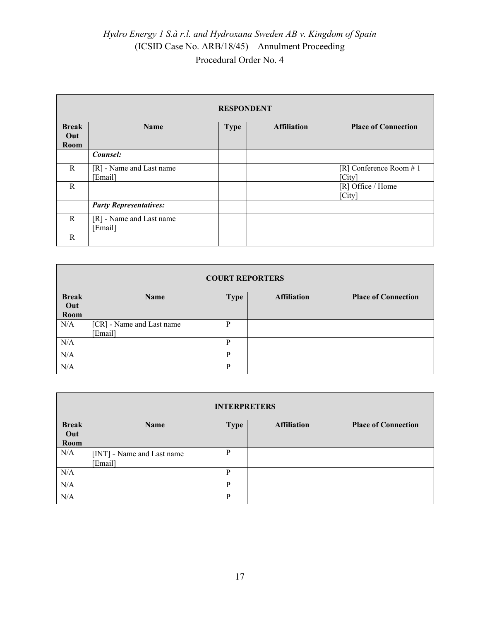# *Hydro Energy 1 S.à r.l. and Hydroxana Sweden AB v. Kingdom of Spain* (ICSID Case No. ARB/18/45) – Annulment Proceeding

# Procedural Order No. 4

| <b>RESPONDENT</b> |                               |             |                    |                            |  |
|-------------------|-------------------------------|-------------|--------------------|----------------------------|--|
| <b>Break</b>      | <b>Name</b>                   | <b>Type</b> | <b>Affiliation</b> | <b>Place of Connection</b> |  |
| Out               |                               |             |                    |                            |  |
| Room              |                               |             |                    |                            |  |
|                   | Counsel:                      |             |                    |                            |  |
| R                 | [R] - Name and Last name      |             |                    | [R] Conference Room $# 1$  |  |
|                   | [Email]                       |             |                    | [City]                     |  |
| R                 |                               |             |                    | [R] Office / Home          |  |
|                   |                               |             |                    | [City]                     |  |
|                   | <b>Party Representatives:</b> |             |                    |                            |  |
| R                 | [R] - Name and Last name      |             |                    |                            |  |
|                   | [Email]                       |             |                    |                            |  |
| R                 |                               |             |                    |                            |  |

| <b>COURT REPORTERS</b> |                                      |             |                    |                            |  |
|------------------------|--------------------------------------|-------------|--------------------|----------------------------|--|
| <b>Break</b>           | Name                                 | <b>Type</b> | <b>Affiliation</b> | <b>Place of Connection</b> |  |
| Out<br>Room            |                                      |             |                    |                            |  |
| N/A                    | [CR] - Name and Last name<br>[Email] | P           |                    |                            |  |
| N/A                    |                                      | P           |                    |                            |  |
| N/A                    |                                      | P           |                    |                            |  |
| N/A                    |                                      | P           |                    |                            |  |

| <b>INTERPRETERS</b> |                                      |             |                    |                            |  |
|---------------------|--------------------------------------|-------------|--------------------|----------------------------|--|
| <b>Break</b>        | Name                                 | <b>Type</b> | <b>Affiliation</b> | <b>Place of Connection</b> |  |
| Out<br><b>Room</b>  |                                      |             |                    |                            |  |
| N/A                 | [INT] - Name and Last name<br>Email] | P           |                    |                            |  |
| N/A                 |                                      | P           |                    |                            |  |
| N/A                 |                                      | P           |                    |                            |  |
| N/A                 |                                      | P           |                    |                            |  |